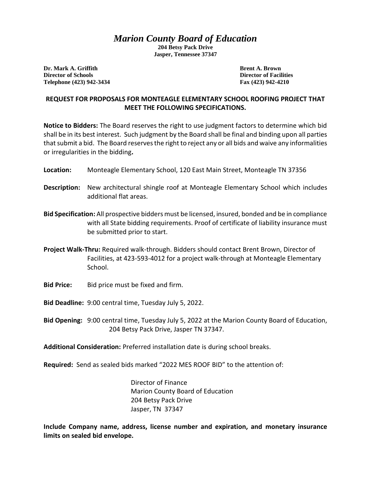## *Marion County Board of Education*

**204 Betsy Pack Drive Jasper, Tennessee 37347**

**Dr. Mark A. Griffith Brent A. Brown Director of Schools Director of Facilities Telephone (423) 942-3434 Fax (423) 942-4210**

## **REQUEST FOR PROPOSALS FOR MONTEAGLE ELEMENTARY SCHOOL ROOFING PROJECT THAT MEET THE FOLLOWING SPECIFICATIONS.**

**Notice to Bidders:** The Board reserves the right to use judgment factors to determine which bid shall be in its best interest. Such judgment by the Board shall be final and binding upon all parties that submit a bid. The Board reserves the right to reject any or all bids and waive any informalities or irregularities in the bidding**.** 

- **Location:** Monteagle Elementary School, 120 East Main Street, Monteagle TN 37356
- **Description:** New architectural shingle roof at Monteagle Elementary School which includes additional flat areas.
- **Bid Specification:** All prospective bidders must be licensed, insured, bonded and be in compliance with all State bidding requirements. Proof of certificate of liability insurance must be submitted prior to start.
- **Project Walk-Thru:** Required walk-through. Bidders should contact Brent Brown, Director of Facilities, at 423-593-4012 for a project walk-through at Monteagle Elementary School.
- **Bid Price:** Bid price must be fixed and firm.
- **Bid Deadline:** 9:00 central time, Tuesday July 5, 2022.
- **Bid Opening:** 9:00 central time, Tuesday July 5, 2022 at the Marion County Board of Education, 204 Betsy Pack Drive, Jasper TN 37347.
- **Additional Consideration:** Preferred installation date is during school breaks.
- **Required:** Send as sealed bids marked "2022 MES ROOF BID" to the attention of:

Director of Finance Marion County Board of Education 204 Betsy Pack Drive Jasper, TN 37347

**Include Company name, address, license number and expiration, and monetary insurance limits on sealed bid envelope.**